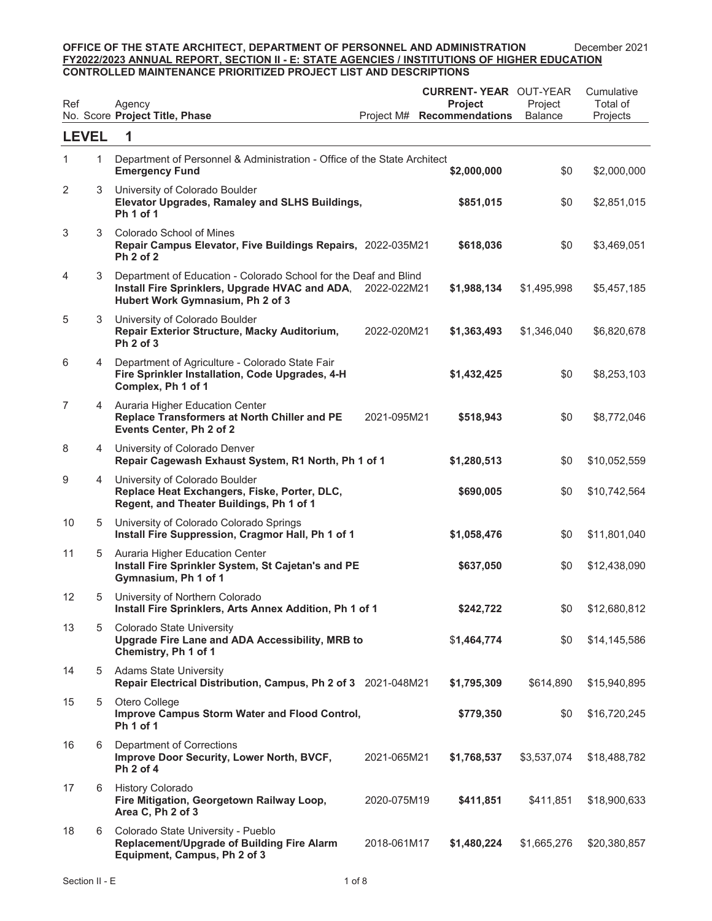| Ref          |   | Agency<br>No. Score Project Title, Phase                                                                                                               | Project M#  | <b>CURRENT-YEAR OUT-YEAR</b><br><b>Project</b><br><b>Recommendations</b> | Project<br><b>Balance</b> | Cumulative<br>Total of<br>Projects |
|--------------|---|--------------------------------------------------------------------------------------------------------------------------------------------------------|-------------|--------------------------------------------------------------------------|---------------------------|------------------------------------|
| <b>LEVEL</b> |   | 1                                                                                                                                                      |             |                                                                          |                           |                                    |
| 1            | 1 | Department of Personnel & Administration - Office of the State Architect<br><b>Emergency Fund</b>                                                      |             | \$2,000,000                                                              | \$0                       | \$2,000,000                        |
| 2            | 3 | University of Colorado Boulder<br>Elevator Upgrades, Ramaley and SLHS Buildings,<br><b>Ph 1 of 1</b>                                                   |             | \$851,015                                                                | \$0                       | \$2,851,015                        |
| 3            | 3 | Colorado School of Mines<br>Repair Campus Elevator, Five Buildings Repairs, 2022-035M21<br>Ph 2 of 2                                                   |             | \$618,036                                                                | \$0                       | \$3,469,051                        |
| 4            | 3 | Department of Education - Colorado School for the Deaf and Blind<br>Install Fire Sprinklers, Upgrade HVAC and ADA,<br>Hubert Work Gymnasium, Ph 2 of 3 | 2022-022M21 | \$1,988,134                                                              | \$1,495,998               | \$5,457,185                        |
| 5            | 3 | University of Colorado Boulder<br>Repair Exterior Structure, Macky Auditorium,<br>Ph 2 of 3                                                            | 2022-020M21 | \$1,363,493                                                              | \$1,346,040               | \$6,820,678                        |
| 6            | 4 | Department of Agriculture - Colorado State Fair<br>Fire Sprinkler Installation, Code Upgrades, 4-H<br>Complex, Ph 1 of 1                               |             | \$1,432,425                                                              | \$0                       | \$8,253,103                        |
| 7            | 4 | Auraria Higher Education Center<br>Replace Transformers at North Chiller and PE<br>Events Center, Ph 2 of 2                                            | 2021-095M21 | \$518,943                                                                | \$0                       | \$8,772,046                        |
| 8            |   | 4 University of Colorado Denver<br>Repair Cagewash Exhaust System, R1 North, Ph 1 of 1                                                                 |             | \$1,280,513                                                              | \$0                       | \$10,052,559                       |
| 9            | 4 | University of Colorado Boulder<br>Replace Heat Exchangers, Fiske, Porter, DLC,<br>Regent, and Theater Buildings, Ph 1 of 1                             |             | \$690,005                                                                | \$0                       | \$10,742,564                       |
| 10           | 5 | University of Colorado Colorado Springs<br>Install Fire Suppression, Cragmor Hall, Ph 1 of 1                                                           |             | \$1,058,476                                                              | \$0                       | \$11,801,040                       |
| 11           | 5 | Auraria Higher Education Center<br>Install Fire Sprinkler System, St Cajetan's and PE<br>Gymnasium, Ph 1 of 1                                          |             | \$637,050                                                                | \$0                       | \$12,438,090                       |
| 12           | 5 | University of Northern Colorado<br>Install Fire Sprinklers, Arts Annex Addition, Ph 1 of 1                                                             |             | \$242,722                                                                | \$0                       | \$12,680,812                       |
| 13           | 5 | Colorado State University<br>Upgrade Fire Lane and ADA Accessibility, MRB to<br>Chemistry, Ph 1 of 1                                                   |             | \$1,464,774                                                              | \$0                       | \$14,145,586                       |
| 14           |   | 5 Adams State University<br>Repair Electrical Distribution, Campus, Ph 2 of 3 2021-048M21                                                              |             | \$1,795,309                                                              | \$614,890                 | \$15,940,895                       |
| 15           | 5 | Otero College<br>Improve Campus Storm Water and Flood Control,<br>Ph <sub>1</sub> of 1                                                                 |             | \$779,350                                                                | \$0                       | \$16,720,245                       |
| 16           | 6 | Department of Corrections<br>Improve Door Security, Lower North, BVCF,<br>Ph 2 of 4                                                                    | 2021-065M21 | \$1,768,537                                                              | \$3,537,074               | \$18,488,782                       |
| 17           | 6 | <b>History Colorado</b><br>Fire Mitigation, Georgetown Railway Loop,<br>Area C, Ph 2 of 3                                                              | 2020-075M19 | \$411,851                                                                | \$411,851                 | \$18,900,633                       |
| 18           | 6 | Colorado State University - Pueblo<br>Replacement/Upgrade of Building Fire Alarm<br>Equipment, Campus, Ph 2 of 3                                       | 2018-061M17 | \$1,480,224                                                              | \$1,665,276               | \$20,380,857                       |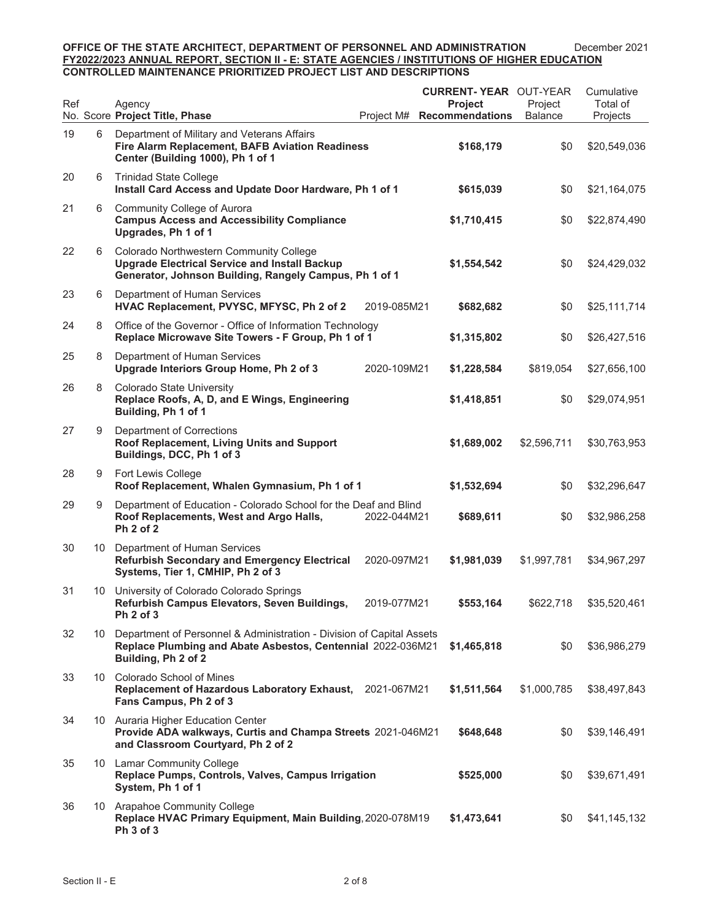| Ref |    | Agency<br>No. Score Project Title, Phase                                                                                                                    | Project M#  | <b>CURRENT-YEAR OUT-YEAR</b><br><b>Project</b><br><b>Recommendations</b> | Project<br><b>Balance</b> | Cumulative<br>Total of<br>Projects |
|-----|----|-------------------------------------------------------------------------------------------------------------------------------------------------------------|-------------|--------------------------------------------------------------------------|---------------------------|------------------------------------|
| 19  | 6  | Department of Military and Veterans Affairs<br>Fire Alarm Replacement, BAFB Aviation Readiness<br>Center (Building 1000), Ph 1 of 1                         |             | \$168,179                                                                | \$0                       | \$20,549,036                       |
| 20  | 6  | <b>Trinidad State College</b><br>Install Card Access and Update Door Hardware, Ph 1 of 1                                                                    |             | \$615,039                                                                | \$0                       | \$21,164,075                       |
| 21  | 6  | <b>Community College of Aurora</b><br><b>Campus Access and Accessibility Compliance</b><br>Upgrades, Ph 1 of 1                                              |             | \$1,710,415                                                              | \$0                       | \$22,874,490                       |
| 22  | 6  | Colorado Northwestern Community College<br><b>Upgrade Electrical Service and Install Backup</b><br>Generator, Johnson Building, Rangely Campus, Ph 1 of 1   |             | \$1,554,542                                                              | \$0                       | \$24,429,032                       |
| 23  | 6  | Department of Human Services<br>HVAC Replacement, PVYSC, MFYSC, Ph 2 of 2                                                                                   | 2019-085M21 | \$682,682                                                                | \$0                       | \$25,111,714                       |
| 24  | 8  | Office of the Governor - Office of Information Technology<br>Replace Microwave Site Towers - F Group, Ph 1 of 1                                             |             | \$1,315,802                                                              | \$0                       | \$26,427,516                       |
| 25  | 8  | Department of Human Services<br>Upgrade Interiors Group Home, Ph 2 of 3                                                                                     | 2020-109M21 | \$1,228,584                                                              | \$819,054                 | \$27,656,100                       |
| 26  | 8  | Colorado State University<br>Replace Roofs, A, D, and E Wings, Engineering<br>Building, Ph 1 of 1                                                           |             | \$1,418,851                                                              | \$0                       | \$29,074,951                       |
| 27  | 9  | Department of Corrections<br>Roof Replacement, Living Units and Support<br>Buildings, DCC, Ph 1 of 3                                                        |             | \$1,689,002                                                              | \$2,596,711               | \$30,763,953                       |
| 28  | 9  | Fort Lewis College<br>Roof Replacement, Whalen Gymnasium, Ph 1 of 1                                                                                         |             | \$1,532,694                                                              | \$0                       | \$32,296,647                       |
| 29  | 9  | Department of Education - Colorado School for the Deaf and Blind<br>Roof Replacements, West and Argo Halls,<br>Ph 2 of 2                                    | 2022-044M21 | \$689,611                                                                | \$0                       | \$32,986,258                       |
| 30  | 10 | Department of Human Services<br><b>Refurbish Secondary and Emergency Electrical</b><br>Systems, Tier 1, CMHIP, Ph 2 of 3                                    | 2020-097M21 | \$1,981,039                                                              | \$1,997,781               | \$34,967,297                       |
| 31  | 10 | University of Colorado Colorado Springs<br>Refurbish Campus Elevators, Seven Buildings,<br>Ph 2 of 3                                                        | 2019-077M21 | \$553,164                                                                | \$622,718                 | \$35,520,461                       |
| 32  | 10 | Department of Personnel & Administration - Division of Capital Assets<br>Replace Plumbing and Abate Asbestos, Centennial 2022-036M21<br>Building, Ph 2 of 2 |             | \$1,465,818                                                              | \$0                       | \$36,986,279                       |
| 33  |    | 10 Colorado School of Mines<br>Replacement of Hazardous Laboratory Exhaust, 2021-067M21<br>Fans Campus, Ph 2 of 3                                           |             | \$1,511,564                                                              | \$1,000,785               | \$38,497,843                       |
| 34  |    | 10 Auraria Higher Education Center<br>Provide ADA walkways, Curtis and Champa Streets 2021-046M21<br>and Classroom Courtyard, Ph 2 of 2                     |             | \$648,648                                                                | \$0                       | \$39,146,491                       |
| 35  |    | 10 Lamar Community College<br>Replace Pumps, Controls, Valves, Campus Irrigation<br>System, Ph 1 of 1                                                       |             | \$525,000                                                                | \$0                       | \$39,671,491                       |
| 36  |    | 10 Arapahoe Community College<br>Replace HVAC Primary Equipment, Main Building, 2020-078M19<br>Ph 3 of 3                                                    |             | \$1,473,641                                                              | \$0                       | \$41,145,132                       |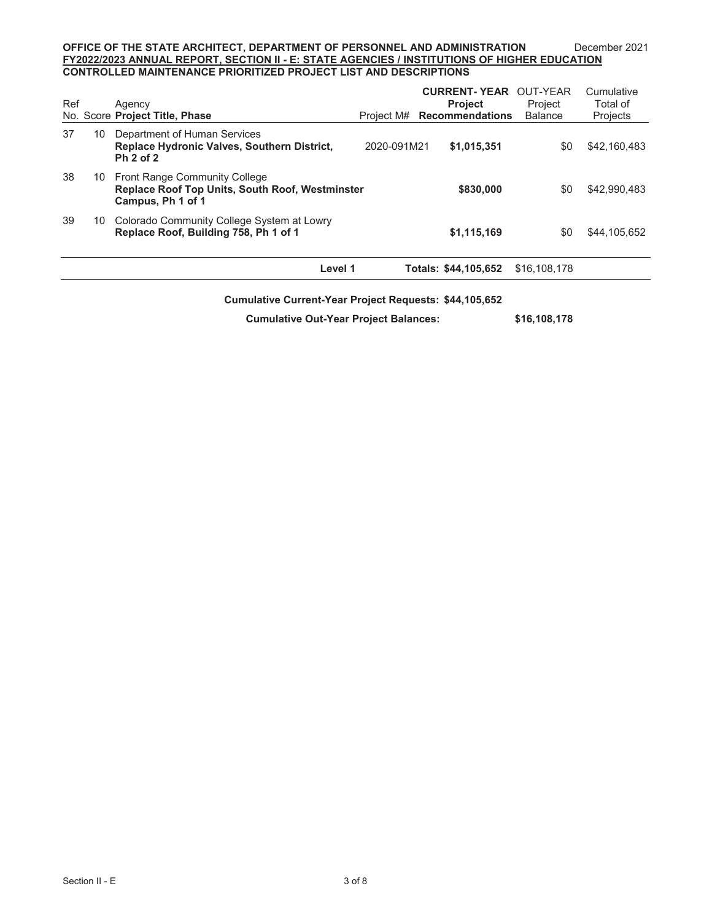| Ref |    | Agency<br>No. Score Project Title, Phase                                                                        |             | <b>CURRENT-YEAR OUT-YEAR</b><br><b>Project</b><br>Project M# Recommendations | Project<br><b>Balance</b> | Cumulative<br>Total of<br>Projects |
|-----|----|-----------------------------------------------------------------------------------------------------------------|-------------|------------------------------------------------------------------------------|---------------------------|------------------------------------|
| 37  | 10 | Department of Human Services<br><b>Replace Hydronic Valves, Southern District,</b><br><b>Ph 2 of 2</b>          | 2020-091M21 | \$1,015,351                                                                  | \$0                       | \$42,160,483                       |
| 38  |    | 10 Front Range Community College<br><b>Replace Roof Top Units, South Roof, Westminster</b><br>Campus, Ph 1 of 1 |             | \$830,000                                                                    | \$0                       | \$42,990,483                       |
| 39  | 10 | Colorado Community College System at Lowry<br>Replace Roof, Building 758, Ph 1 of 1                             |             | \$1,115,169                                                                  | \$0                       | \$44,105,652                       |
|     |    | Level 1                                                                                                         |             | Totals: \$44,105,652                                                         | \$16,108,178              |                                    |

#### **Cumulative Current-Year Project Requests: \$44,105,652**

**Cumulative Out-Year Project Balances: \$16,108,178**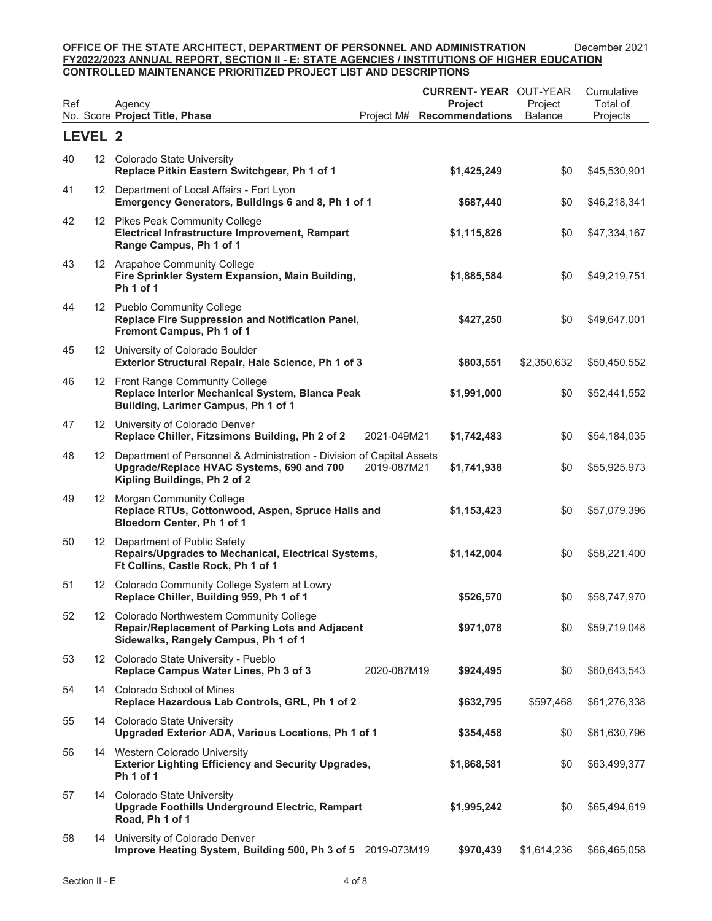| Ref |         | Agency<br>No. Score Project Title, Phase                                                                                                              | Project M#  | <b>CURRENT-YEAR OUT-YEAR</b><br><b>Project</b><br><b>Recommendations</b> | Project<br><b>Balance</b> | Cumulative<br>Total of<br>Projects |
|-----|---------|-------------------------------------------------------------------------------------------------------------------------------------------------------|-------------|--------------------------------------------------------------------------|---------------------------|------------------------------------|
|     | LEVEL 2 |                                                                                                                                                       |             |                                                                          |                           |                                    |
| 40  |         | 12 Colorado State University<br>Replace Pitkin Eastern Switchgear, Ph 1 of 1                                                                          |             | \$1,425,249                                                              | \$0                       | \$45,530,901                       |
| 41  |         | 12 Department of Local Affairs - Fort Lyon<br>Emergency Generators, Buildings 6 and 8, Ph 1 of 1                                                      |             | \$687,440                                                                | \$0                       | \$46,218,341                       |
| 42  |         | 12 Pikes Peak Community College<br>Electrical Infrastructure Improvement, Rampart<br>Range Campus, Ph 1 of 1                                          |             | \$1,115,826                                                              | \$0                       | \$47,334,167                       |
| 43  |         | 12 Arapahoe Community College<br>Fire Sprinkler System Expansion, Main Building,<br><b>Ph 1 of 1</b>                                                  |             | \$1,885,584                                                              | \$0                       | \$49,219,751                       |
| 44  |         | 12 Pueblo Community College<br>Replace Fire Suppression and Notification Panel,<br>Fremont Campus, Ph 1 of 1                                          |             | \$427,250                                                                | \$0                       | \$49,647,001                       |
| 45  |         | 12 University of Colorado Boulder<br>Exterior Structural Repair, Hale Science, Ph 1 of 3                                                              |             | \$803,551                                                                | \$2,350,632               | \$50,450,552                       |
| 46  |         | 12 Front Range Community College<br>Replace Interior Mechanical System, Blanca Peak<br>Building, Larimer Campus, Ph 1 of 1                            |             | \$1,991,000                                                              | \$0                       | \$52,441,552                       |
| 47  |         | 12 University of Colorado Denver<br>Replace Chiller, Fitzsimons Building, Ph 2 of 2                                                                   | 2021-049M21 | \$1,742,483                                                              | \$0                       | \$54,184,035                       |
| 48  |         | 12 Department of Personnel & Administration - Division of Capital Assets<br>Upgrade/Replace HVAC Systems, 690 and 700<br>Kipling Buildings, Ph 2 of 2 | 2019-087M21 | \$1,741,938                                                              | \$0                       | \$55,925,973                       |
| 49  |         | 12 Morgan Community College<br>Replace RTUs, Cottonwood, Aspen, Spruce Halls and<br>Bloedorn Center, Ph 1 of 1                                        |             | \$1,153,423                                                              | \$0                       | \$57,079,396                       |
| 50  |         | 12 Department of Public Safety<br>Repairs/Upgrades to Mechanical, Electrical Systems,<br>Ft Collins, Castle Rock, Ph 1 of 1                           |             | \$1,142,004                                                              | \$0                       | \$58,221,400                       |
| 51  |         | 12 Colorado Community College System at Lowry<br>Replace Chiller, Building 959, Ph 1 of 1                                                             |             | \$526,570                                                                | \$0                       | \$58,747,970                       |
| 52  |         | 12 Colorado Northwestern Community College<br>Repair/Replacement of Parking Lots and Adjacent<br>Sidewalks, Rangely Campus, Ph 1 of 1                 |             | \$971,078                                                                | \$0                       | \$59,719,048                       |
| 53  |         | 12 Colorado State University - Pueblo<br>Replace Campus Water Lines, Ph 3 of 3                                                                        | 2020-087M19 | \$924,495                                                                | \$0                       | \$60,643,543                       |
| 54  |         | 14 Colorado School of Mines<br>Replace Hazardous Lab Controls, GRL, Ph 1 of 2                                                                         |             | \$632,795                                                                | \$597,468                 | \$61,276,338                       |
| 55  |         | 14 Colorado State University<br>Upgraded Exterior ADA, Various Locations, Ph 1 of 1                                                                   |             | \$354,458                                                                | \$0                       | \$61,630,796                       |
| 56  |         | 14 Western Colorado University<br><b>Exterior Lighting Efficiency and Security Upgrades,</b><br>Ph <sub>1</sub> of 1                                  |             | \$1,868,581                                                              | \$0                       | \$63,499,377                       |
| 57  |         | 14 Colorado State University<br>Upgrade Foothills Underground Electric, Rampart<br>Road, Ph 1 of 1                                                    |             | \$1,995,242                                                              | \$0                       | \$65,494,619                       |
| 58  |         | 14 University of Colorado Denver<br>Improve Heating System, Building 500, Ph 3 of 5 2019-073M19                                                       |             | \$970,439                                                                | \$1,614,236               | \$66,465,058                       |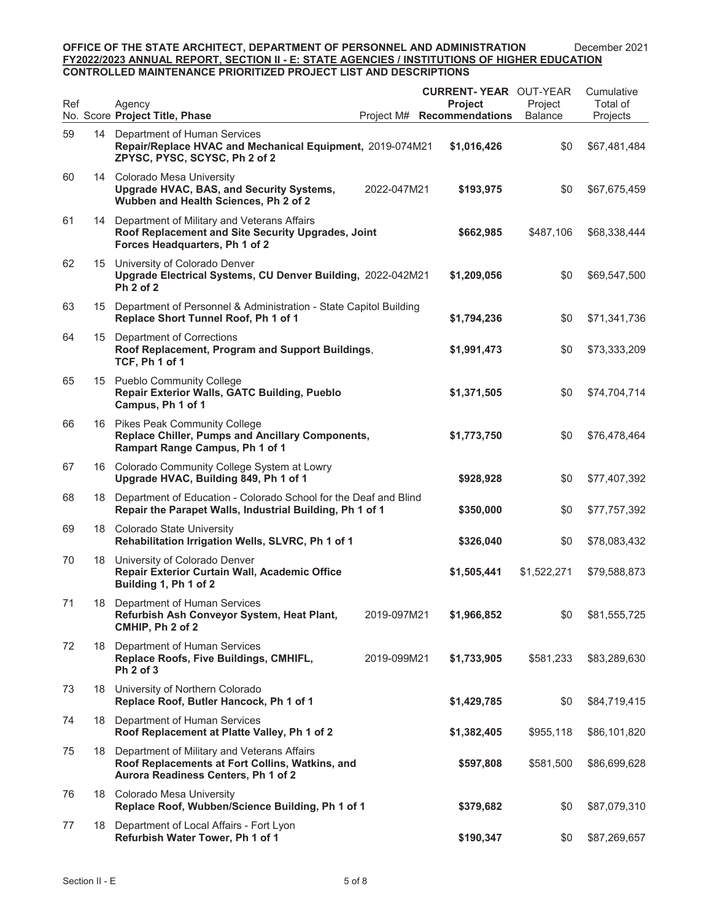| Ref |    | Agency<br>No. Score Project Title, Phase                                                                                                 | Project M#  | <b>CURRENT- YEAR OUT-YEAR</b><br><b>Project</b><br><b>Recommendations</b> | Project<br><b>Balance</b> | Cumulative<br>Total of<br>Projects |
|-----|----|------------------------------------------------------------------------------------------------------------------------------------------|-------------|---------------------------------------------------------------------------|---------------------------|------------------------------------|
| 59  |    | 14 Department of Human Services<br>Repair/Replace HVAC and Mechanical Equipment, 2019-074M21<br>ZPYSC, PYSC, SCYSC, Ph 2 of 2            |             | \$1,016,426                                                               | \$0                       | \$67,481,484                       |
| 60  |    | 14 Colorado Mesa University<br>Upgrade HVAC, BAS, and Security Systems,<br>Wubben and Health Sciences, Ph 2 of 2                         | 2022-047M21 | \$193,975                                                                 | \$0                       | \$67,675,459                       |
| 61  |    | 14 Department of Military and Veterans Affairs<br>Roof Replacement and Site Security Upgrades, Joint<br>Forces Headquarters, Ph 1 of 2   |             | \$662,985                                                                 | \$487,106                 | \$68,338,444                       |
| 62  |    | 15 University of Colorado Denver<br>Upgrade Electrical Systems, CU Denver Building, 2022-042M21<br><b>Ph 2 of 2</b>                      |             | \$1,209,056                                                               | \$0                       | \$69,547,500                       |
| 63  |    | 15 Department of Personnel & Administration - State Capitol Building<br>Replace Short Tunnel Roof, Ph 1 of 1                             |             | \$1,794,236                                                               | \$0                       | \$71,341,736                       |
| 64  |    | 15 Department of Corrections<br>Roof Replacement, Program and Support Buildings,<br>TCF, Ph 1 of 1                                       |             | \$1,991,473                                                               | \$0                       | \$73,333,209                       |
| 65  |    | 15 Pueblo Community College<br><b>Repair Exterior Walls, GATC Building, Pueblo</b><br>Campus, Ph 1 of 1                                  |             | \$1,371,505                                                               | \$0                       | \$74,704,714                       |
| 66  |    | 16 Pikes Peak Community College<br>Replace Chiller, Pumps and Ancillary Components,<br>Rampart Range Campus, Ph 1 of 1                   |             | \$1,773,750                                                               | \$0                       | \$76,478,464                       |
| 67  |    | 16 Colorado Community College System at Lowry<br>Upgrade HVAC, Building 849, Ph 1 of 1                                                   |             | \$928,928                                                                 | \$0                       | \$77,407,392                       |
| 68  |    | 18 Department of Education - Colorado School for the Deaf and Blind<br>Repair the Parapet Walls, Industrial Building, Ph 1 of 1          |             | \$350,000                                                                 | \$0                       | \$77,757,392                       |
| 69  |    | 18 Colorado State University<br>Rehabilitation Irrigation Wells, SLVRC, Ph 1 of 1                                                        |             | \$326,040                                                                 | \$0                       | \$78,083,432                       |
| 70  |    | 18 University of Colorado Denver<br>Repair Exterior Curtain Wall, Academic Office<br>Building 1, Ph 1 of 2                               |             | \$1,505,441                                                               | \$1,522,271               | \$79,588,873                       |
| 71  |    | 18 Department of Human Services<br>Refurbish Ash Conveyor System, Heat Plant,<br>CMHIP, Ph 2 of 2                                        | 2019-097M21 | \$1,966,852                                                               | \$0                       | \$81,555,725                       |
| 72  | 18 | Department of Human Services<br>Replace Roofs, Five Buildings, CMHIFL,<br>Ph 2 of 3                                                      | 2019-099M21 | \$1,733,905                                                               | \$581,233                 | \$83,289,630                       |
| 73  |    | 18 University of Northern Colorado<br>Replace Roof, Butler Hancock, Ph 1 of 1                                                            |             | \$1,429,785                                                               | \$0                       | \$84,719,415                       |
| 74  |    | 18 Department of Human Services<br>Roof Replacement at Platte Valley, Ph 1 of 2                                                          |             | \$1,382,405                                                               | \$955,118                 | \$86,101,820                       |
| 75  |    | 18 Department of Military and Veterans Affairs<br>Roof Replacements at Fort Collins, Watkins, and<br>Aurora Readiness Centers, Ph 1 of 2 |             | \$597,808                                                                 | \$581,500                 | \$86,699,628                       |
| 76  |    | 18 Colorado Mesa University<br>Replace Roof, Wubben/Science Building, Ph 1 of 1                                                          |             | \$379,682                                                                 | \$0                       | \$87,079,310                       |
| 77  | 18 | Department of Local Affairs - Fort Lyon<br>Refurbish Water Tower, Ph 1 of 1                                                              |             | \$190,347                                                                 | \$0                       | \$87,269,657                       |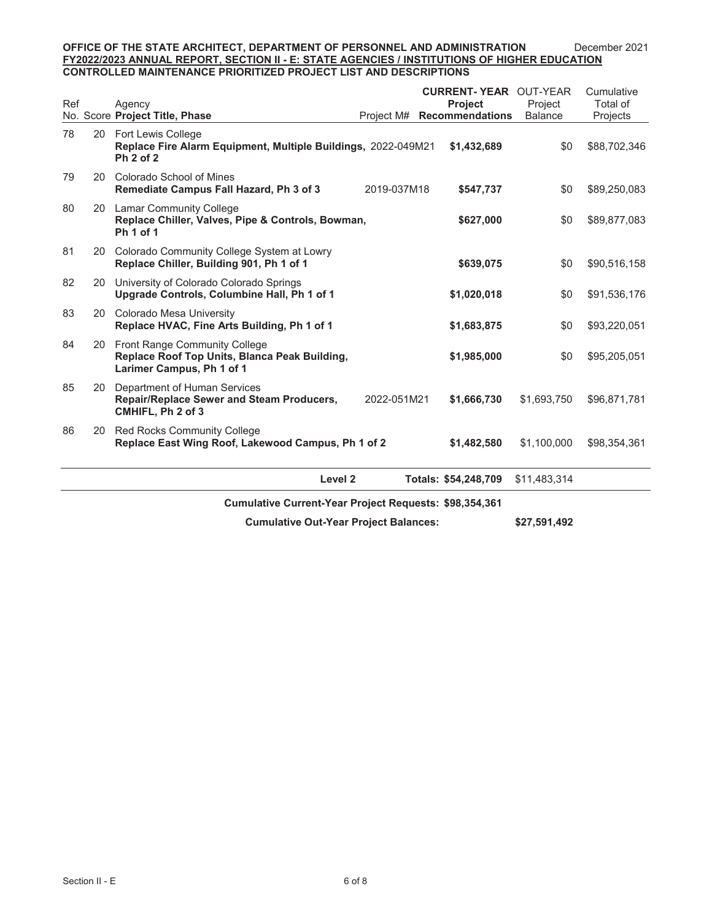| Ref |                                                               | Agency<br>No. Score Project Title, Phase                                                                       | Project M#  | <b>CURRENT-YEAR OUT-YEAR</b><br>Project<br>Recommendations | Project<br><b>Balance</b> | Cumulative<br>Total of<br>Projects |  |
|-----|---------------------------------------------------------------|----------------------------------------------------------------------------------------------------------------|-------------|------------------------------------------------------------|---------------------------|------------------------------------|--|
| 78  |                                                               | 20 Fort Lewis College<br>Replace Fire Alarm Equipment, Multiple Buildings, 2022-049M21<br>Ph 2 of 2            |             | \$1,432,689                                                | \$0                       | \$88,702,346                       |  |
| 79  |                                                               | 20 Colorado School of Mines<br>Remediate Campus Fall Hazard, Ph 3 of 3                                         | 2019-037M18 | \$547,737                                                  | \$0                       | \$89,250,083                       |  |
| 80  |                                                               | 20 Lamar Community College<br>Replace Chiller, Valves, Pipe & Controls, Bowman,<br>Ph <sub>1</sub> of 1        |             | \$627,000                                                  | \$0                       | \$89,877,083                       |  |
| 81  |                                                               | 20 Colorado Community College System at Lowry<br>Replace Chiller, Building 901, Ph 1 of 1                      |             | \$639,075                                                  | \$0                       | \$90,516,158                       |  |
| 82  | 20                                                            | University of Colorado Colorado Springs<br>Upgrade Controls, Columbine Hall, Ph 1 of 1                         |             | \$1,020,018                                                | \$0                       | \$91,536,176                       |  |
| 83  |                                                               | 20 Colorado Mesa University<br>Replace HVAC, Fine Arts Building, Ph 1 of 1                                     |             | \$1,683,875                                                | \$0                       | \$93,220,051                       |  |
| 84  |                                                               | 20 Front Range Community College<br>Replace Roof Top Units, Blanca Peak Building,<br>Larimer Campus, Ph 1 of 1 |             | \$1,985,000                                                | \$0                       | \$95,205,051                       |  |
| 85  | 20                                                            | Department of Human Services<br><b>Repair/Replace Sewer and Steam Producers,</b><br>CMHIFL, Ph 2 of 3          | 2022-051M21 | \$1,666,730                                                | \$1,693,750               | \$96,871,781                       |  |
| 86  | 20                                                            | <b>Red Rocks Community College</b><br>Replace East Wing Roof, Lakewood Campus, Ph 1 of 2                       |             | \$1,482,580                                                | \$1,100,000               | \$98,354,361                       |  |
|     |                                                               | Level <sub>2</sub>                                                                                             |             | Totals: \$54,248,709                                       | \$11,483,314              |                                    |  |
|     | <b>Cumulative Current-Year Project Requests: \$98,354,361</b> |                                                                                                                |             |                                                            |                           |                                    |  |

**Cumulative Out-Year Project Balances: \$27,591,492**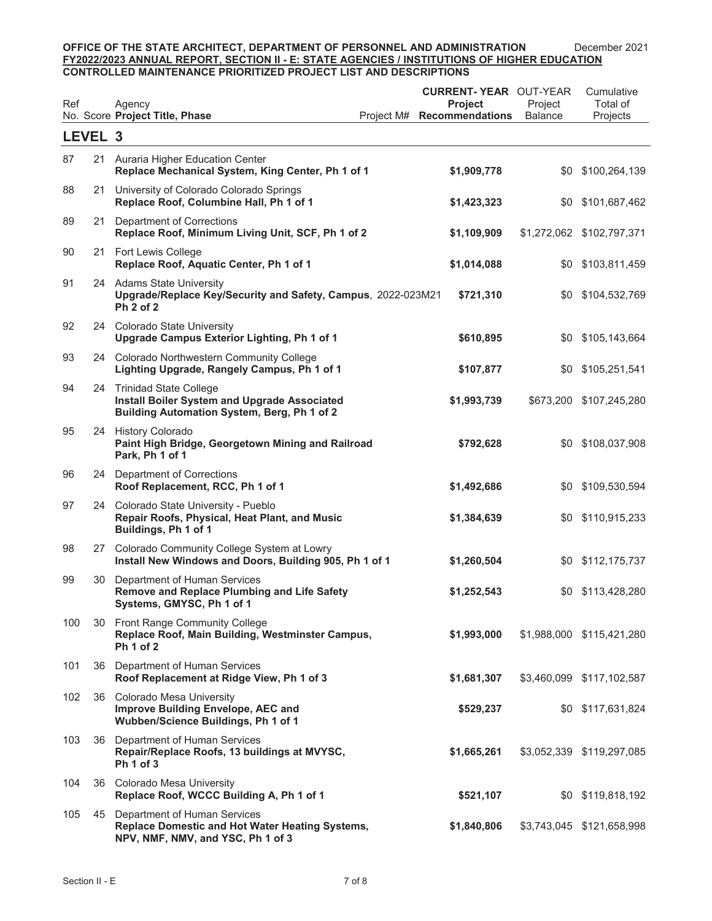| Ref     |    | Agency<br>No. Score Project Title, Phase                                                                                 | Project M# | <b>CURRENT-YEAR OUT-YEAR</b><br><b>Project</b><br><b>Recommendations</b> | Project<br><b>Balance</b> | Cumulative<br>Total of<br>Projects |
|---------|----|--------------------------------------------------------------------------------------------------------------------------|------------|--------------------------------------------------------------------------|---------------------------|------------------------------------|
| LEVEL 3 |    |                                                                                                                          |            |                                                                          |                           |                                    |
| 87      |    | 21 Auraria Higher Education Center<br>Replace Mechanical System, King Center, Ph 1 of 1                                  |            | \$1,909,778                                                              | \$0                       | \$100,264,139                      |
| 88      |    | 21 University of Colorado Colorado Springs<br>Replace Roof, Columbine Hall, Ph 1 of 1                                    |            | \$1,423,323                                                              | \$0                       | \$101,687,462                      |
| 89      | 21 | Department of Corrections<br>Replace Roof, Minimum Living Unit, SCF, Ph 1 of 2                                           |            | \$1,109,909                                                              |                           | \$1,272,062 \$102,797,371          |
| 90      |    | 21 Fort Lewis College<br>Replace Roof, Aquatic Center, Ph 1 of 1                                                         |            | \$1,014,088                                                              | \$0                       | \$103,811,459                      |
| 91      |    | 24 Adams State University<br>Upgrade/Replace Key/Security and Safety, Campus, 2022-023M21<br>Ph 2 of 2                   |            | \$721,310                                                                |                           | \$0 \$104,532,769                  |
| 92      |    | 24 Colorado State University<br>Upgrade Campus Exterior Lighting, Ph 1 of 1                                              |            | \$610,895                                                                |                           | \$0 \$105,143,664                  |
| 93      |    | 24 Colorado Northwestern Community College<br>Lighting Upgrade, Rangely Campus, Ph 1 of 1                                |            | \$107,877                                                                |                           | \$0 \$105,251,541                  |
| 94      |    | 24 Trinidad State College<br>Install Boiler System and Upgrade Associated<br>Building Automation System, Berg, Ph 1 of 2 |            | \$1,993,739                                                              |                           | \$673,200 \$107,245,280            |
| 95      | 24 | <b>History Colorado</b><br>Paint High Bridge, Georgetown Mining and Railroad<br>Park, Ph 1 of 1                          |            | \$792,628                                                                |                           | \$0 \$108,037,908                  |
| 96      |    | 24 Department of Corrections<br>Roof Replacement, RCC, Ph 1 of 1                                                         |            | \$1,492,686                                                              | \$0                       | \$109,530,594                      |
| 97      |    | 24 Colorado State University - Pueblo<br>Repair Roofs, Physical, Heat Plant, and Music<br>Buildings, Ph 1 of 1           |            | \$1,384,639                                                              |                           | \$0 \$110,915,233                  |
| 98      |    | 27 Colorado Community College System at Lowry<br>Install New Windows and Doors, Building 905, Ph 1 of 1                  |            | \$1,260,504                                                              |                           | \$0 \$112,175,737                  |
| 99      | 30 | Department of Human Services<br>Remove and Replace Plumbing and Life Safety<br>Systems, GMYSC, Ph 1 of 1                 |            | \$1,252,543                                                              |                           | \$0 \$113,428,280                  |
| 100     |    | 30 Front Range Community College<br>Replace Roof, Main Building, Westminster Campus,<br>Ph 1 of 2                        |            | \$1,993,000                                                              |                           | \$1,988,000 \$115,421,280          |
| 101     |    | 36 Department of Human Services<br>Roof Replacement at Ridge View, Ph 1 of 3                                             |            | \$1,681,307                                                              |                           | \$3,460,099 \$117,102,587          |
| 102     |    | 36 Colorado Mesa University<br>Improve Building Envelope, AEC and<br>Wubben/Science Buildings, Ph 1 of 1                 |            | \$529,237                                                                |                           | \$0 \$117,631,824                  |
| 103     |    | 36 Department of Human Services<br>Repair/Replace Roofs, 13 buildings at MVYSC,<br>Ph <sub>1</sub> of 3                  |            | \$1,665,261                                                              |                           | \$3,052,339 \$119,297,085          |
| 104     |    | 36 Colorado Mesa University<br>Replace Roof, WCCC Building A, Ph 1 of 1                                                  |            | \$521,107                                                                |                           | \$0 \$119,818,192                  |
| 105     | 45 | Department of Human Services<br>Replace Domestic and Hot Water Heating Systems,<br>NPV, NMF, NMV, and YSC, Ph 1 of 3     |            | \$1,840,806                                                              |                           | \$3,743,045 \$121,658,998          |